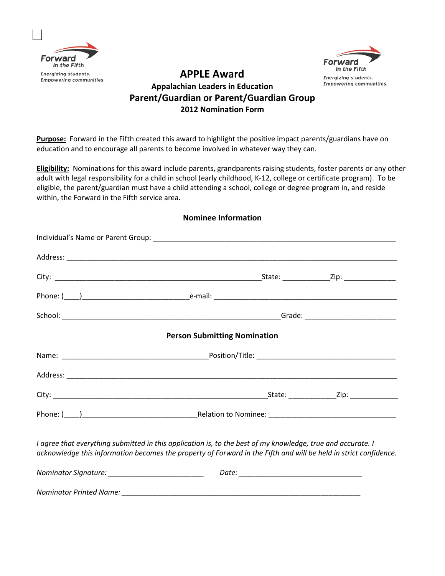



## **APPLE Award Appalachian Leaders in Education Parent/Guardian or Parent/Guardian Group 2012 Nomination Form**

**Purpose:** Forward in the Fifth created this award to highlight the positive impact parents/guardians have on education and to encourage all parents to become involved in whatever way they can.

**Eligibility:** Nominations for this award include parents, grandparents raising students, foster parents or any other adult with legal responsibility for a child in school (early childhood, K-12, college or certificate program). To be eligible, the parent/guardian must have a child attending a school, college or degree program in, and reside within, the Forward in the Fifth service area.

| <b>Person Submitting Nomination</b>                                                                                                                                                                                             |  |
|---------------------------------------------------------------------------------------------------------------------------------------------------------------------------------------------------------------------------------|--|
|                                                                                                                                                                                                                                 |  |
|                                                                                                                                                                                                                                 |  |
|                                                                                                                                                                                                                                 |  |
|                                                                                                                                                                                                                                 |  |
| I agree that everything submitted in this application is, to the best of my knowledge, true and accurate. I<br>acknowledge this information becomes the property of Forward in the Fifth and will be held in strict confidence. |  |
| Nominator Signature: ____________________________                                                                                                                                                                               |  |
|                                                                                                                                                                                                                                 |  |

## **Nominee Information**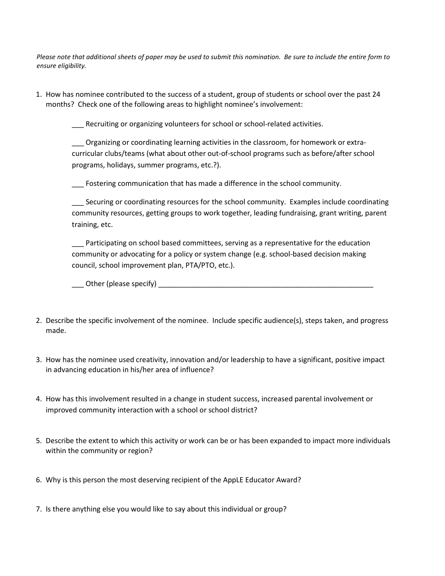*Please note that additional sheets of paper may be used to submit this nomination. Be sure to include the entire form to ensure eligibility.*

1. How has nominee contributed to the success of a student, group of students or school over the past 24 months? Check one of the following areas to highlight nominee's involvement:

\_\_\_ Recruiting or organizing volunteers for school or school-related activities.

\_\_\_ Organizing or coordinating learning activities in the classroom, for homework or extracurricular clubs/teams (what about other out-of-school programs such as before/after school programs, holidays, summer programs, etc.?).

\_\_\_ Fostering communication that has made a difference in the school community.

\_\_\_ Securing or coordinating resources for the school community. Examples include coordinating community resources, getting groups to work together, leading fundraising, grant writing, parent training, etc.

Participating on school based committees, serving as a representative for the education community or advocating for a policy or system change (e.g. school-based decision making council, school improvement plan, PTA/PTO, etc.).

\_\_\_ Other (please specify) \_\_\_\_\_\_\_\_\_\_\_\_\_\_\_\_\_\_\_\_\_\_\_\_\_\_\_\_\_\_\_\_\_\_\_\_\_\_\_\_\_\_\_\_\_\_\_\_\_\_\_\_\_\_

- 2. Describe the specific involvement of the nominee. Include specific audience(s), steps taken, and progress made.
- 3. How has the nominee used creativity, innovation and/or leadership to have a significant, positive impact in advancing education in his/her area of influence?
- 4. How has this involvement resulted in a change in student success, increased parental involvement or improved community interaction with a school or school district?
- 5. Describe the extent to which this activity or work can be or has been expanded to impact more individuals within the community or region?
- 6. Why is this person the most deserving recipient of the AppLE Educator Award?
- 7. Is there anything else you would like to say about this individual or group?